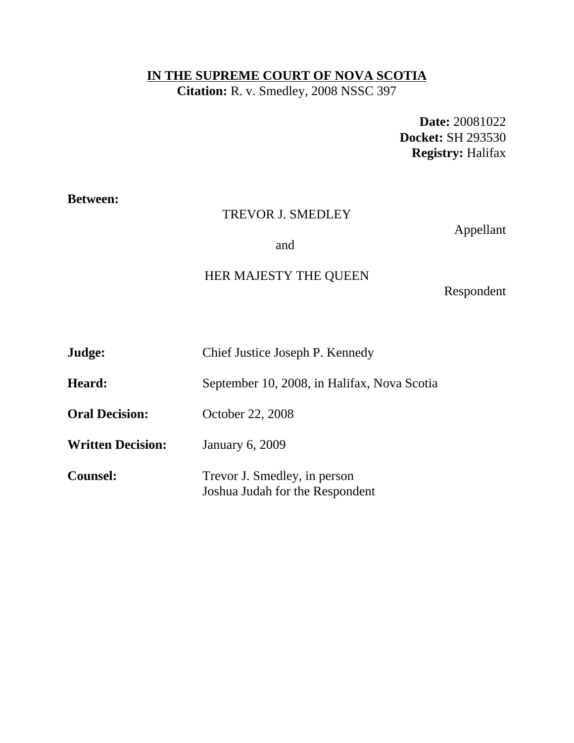## **IN THE SUPREME COURT OF NOVA SCOTIA**

**Citation:** R. v. Smedley, 2008 NSSC 397

**Date:** 20081022 **Docket:** SH 293530 **Registry:** Halifax

# **Between:**

## TREVOR J. SMEDLEY

Appellant

and

# HER MAJESTY THE QUEEN

Respondent

| Judge:                   | Chief Justice Joseph P. Kennedy                                 |
|--------------------------|-----------------------------------------------------------------|
| Heard:                   | September 10, 2008, in Halifax, Nova Scotia                     |
| <b>Oral Decision:</b>    | October 22, 2008                                                |
| <b>Written Decision:</b> | January 6, 2009                                                 |
| <b>Counsel:</b>          | Trevor J. Smedley, in person<br>Joshua Judah for the Respondent |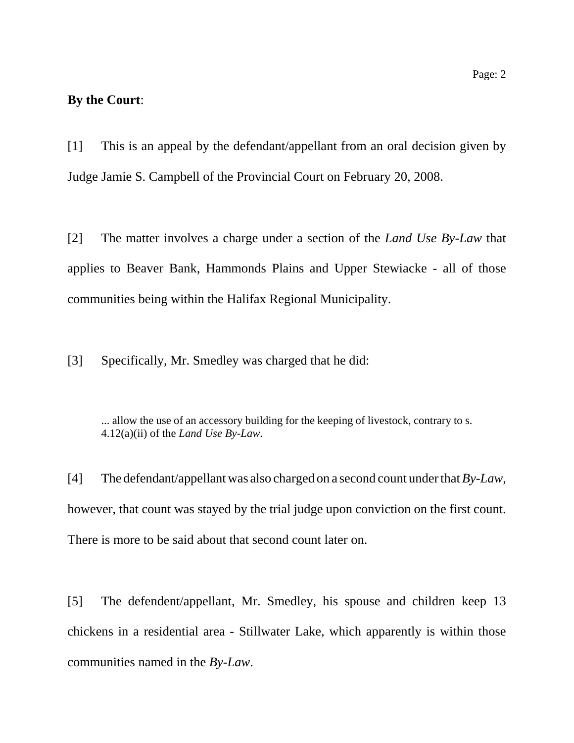### **By the Court**:

[1] This is an appeal by the defendant/appellant from an oral decision given by Judge Jamie S. Campbell of the Provincial Court on February 20, 2008.

[2] The matter involves a charge under a section of the *Land Use By-Law* that applies to Beaver Bank, Hammonds Plains and Upper Stewiacke - all of those communities being within the Halifax Regional Municipality.

[3] Specifically, Mr. Smedley was charged that he did:

... allow the use of an accessory building for the keeping of livestock, contrary to s. 4.12(a)(ii) of the *Land Use By-Law*.

[4] The defendant/appellant was also charged on a second count under that *By-Law*, however, that count was stayed by the trial judge upon conviction on the first count. There is more to be said about that second count later on.

[5] The defendent/appellant, Mr. Smedley, his spouse and children keep 13 chickens in a residential area - Stillwater Lake, which apparently is within those communities named in the *By-Law*.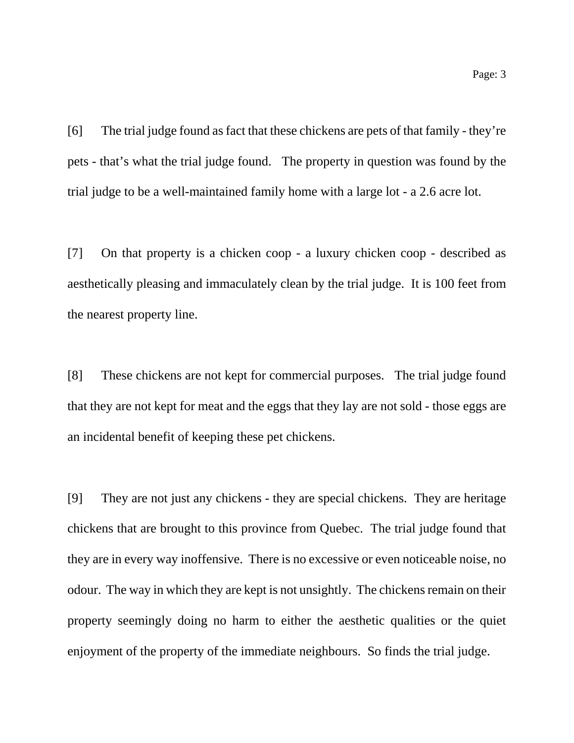[6] The trial judge found as fact that these chickens are pets of that family - they're pets - that's what the trial judge found. The property in question was found by the trial judge to be a well-maintained family home with a large lot - a 2.6 acre lot.

[7] On that property is a chicken coop - a luxury chicken coop - described as aesthetically pleasing and immaculately clean by the trial judge. It is 100 feet from the nearest property line.

[8] These chickens are not kept for commercial purposes. The trial judge found that they are not kept for meat and the eggs that they lay are not sold - those eggs are an incidental benefit of keeping these pet chickens.

[9] They are not just any chickens - they are special chickens. They are heritage chickens that are brought to this province from Quebec. The trial judge found that they are in every way inoffensive. There is no excessive or even noticeable noise, no odour. The way in which they are kept is not unsightly. The chickens remain on their property seemingly doing no harm to either the aesthetic qualities or the quiet enjoyment of the property of the immediate neighbours. So finds the trial judge.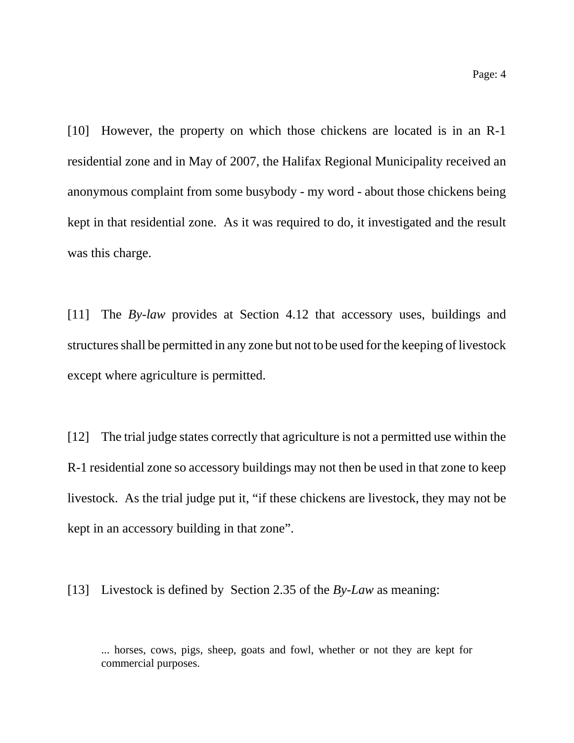[10] However, the property on which those chickens are located is in an R-1 residential zone and in May of 2007, the Halifax Regional Municipality received an anonymous complaint from some busybody - my word - about those chickens being kept in that residential zone. As it was required to do, it investigated and the result was this charge.

[11] The *By-law* provides at Section 4.12 that accessory uses, buildings and structures shall be permitted in any zone but not to be used for the keeping of livestock except where agriculture is permitted.

[12] The trial judge states correctly that agriculture is not a permitted use within the R-1 residential zone so accessory buildings may not then be used in that zone to keep livestock. As the trial judge put it, "if these chickens are livestock, they may not be kept in an accessory building in that zone".

[13] Livestock is defined by Section 2.35 of the *By-Law* as meaning:

<sup>...</sup> horses, cows, pigs, sheep, goats and fowl, whether or not they are kept for commercial purposes.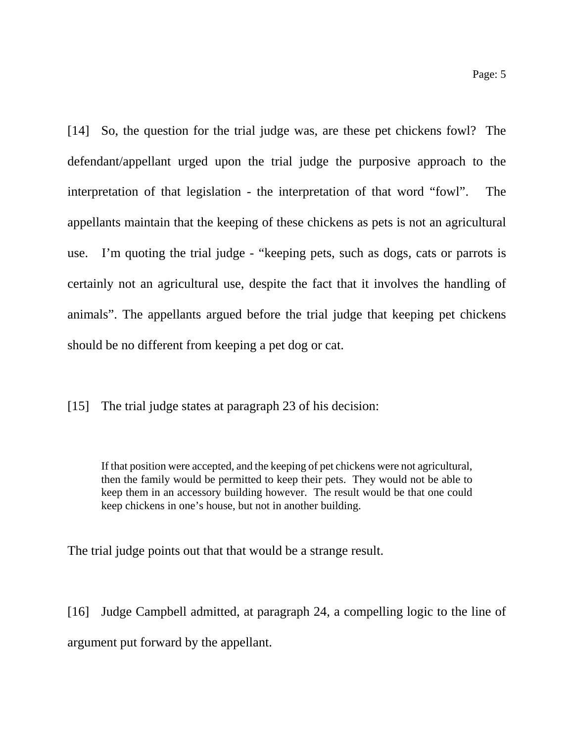[14] So, the question for the trial judge was, are these pet chickens fowl? The defendant/appellant urged upon the trial judge the purposive approach to the interpretation of that legislation - the interpretation of that word "fowl". The appellants maintain that the keeping of these chickens as pets is not an agricultural use. I'm quoting the trial judge - "keeping pets, such as dogs, cats or parrots is certainly not an agricultural use, despite the fact that it involves the handling of animals". The appellants argued before the trial judge that keeping pet chickens should be no different from keeping a pet dog or cat.

[15] The trial judge states at paragraph 23 of his decision:

If that position were accepted, and the keeping of pet chickens were not agricultural, then the family would be permitted to keep their pets. They would not be able to keep them in an accessory building however. The result would be that one could keep chickens in one's house, but not in another building.

The trial judge points out that that would be a strange result.

[16] Judge Campbell admitted, at paragraph 24, a compelling logic to the line of argument put forward by the appellant.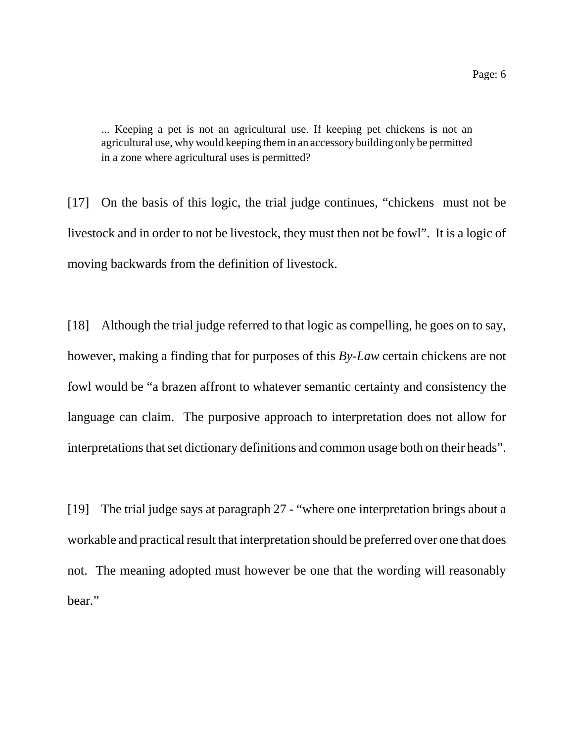... Keeping a pet is not an agricultural use. If keeping pet chickens is not an agricultural use, why would keeping them in an accessory building only be permitted in a zone where agricultural uses is permitted?

[17] On the basis of this logic, the trial judge continues, "chickens must not be livestock and in order to not be livestock, they must then not be fowl". It is a logic of moving backwards from the definition of livestock.

[18] Although the trial judge referred to that logic as compelling, he goes on to say, however, making a finding that for purposes of this *By-Law* certain chickens are not fowl would be "a brazen affront to whatever semantic certainty and consistency the language can claim. The purposive approach to interpretation does not allow for interpretations that set dictionary definitions and common usage both on their heads".

[19] The trial judge says at paragraph 27 - "where one interpretation brings about a workable and practical result that interpretation should be preferred over one that does not. The meaning adopted must however be one that the wording will reasonably bear."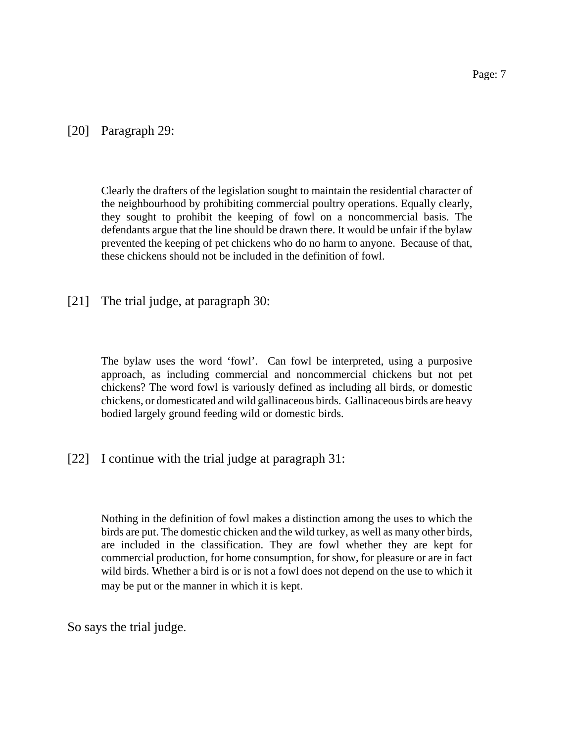Clearly the drafters of the legislation sought to maintain the residential character of the neighbourhood by prohibiting commercial poultry operations. Equally clearly, they sought to prohibit the keeping of fowl on a noncommercial basis. The defendants argue that the line should be drawn there. It would be unfair if the bylaw prevented the keeping of pet chickens who do no harm to anyone. Because of that, these chickens should not be included in the definition of fowl.

[21] The trial judge, at paragraph 30:

The bylaw uses the word 'fowl'. Can fowl be interpreted, using a purposive approach, as including commercial and noncommercial chickens but not pet chickens? The word fowl is variously defined as including all birds, or domestic chickens, or domesticated and wild gallinaceous birds. Gallinaceous birds are heavy bodied largely ground feeding wild or domestic birds.

[22] I continue with the trial judge at paragraph 31:

Nothing in the definition of fowl makes a distinction among the uses to which the birds are put. The domestic chicken and the wild turkey, as well as many other birds, are included in the classification. They are fowl whether they are kept for commercial production, for home consumption, for show, for pleasure or are in fact wild birds. Whether a bird is or is not a fowl does not depend on the use to which it may be put or the manner in which it is kept.

So says the trial judge.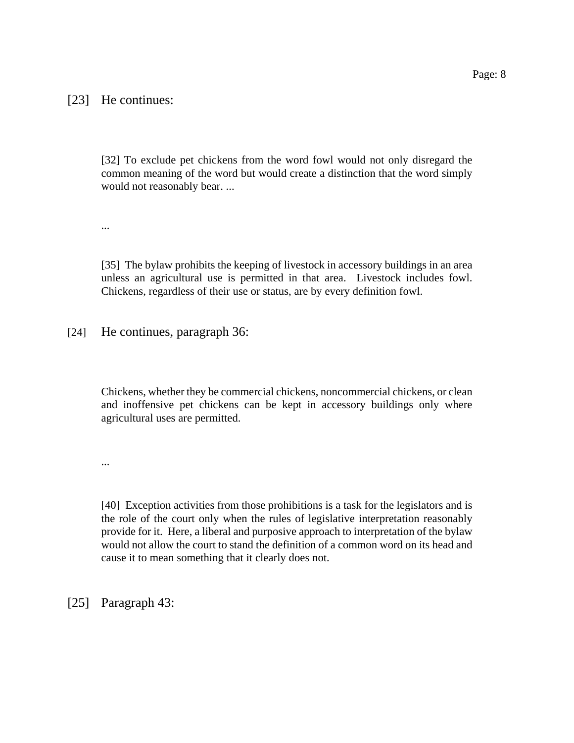### [23] He continues:

[32] To exclude pet chickens from the word fowl would not only disregard the common meaning of the word but would create a distinction that the word simply would not reasonably bear. ...

...

[35] The bylaw prohibits the keeping of livestock in accessory buildings in an area unless an agricultural use is permitted in that area. Livestock includes fowl. Chickens, regardless of their use or status, are by every definition fowl.

[24] He continues, paragraph 36:

Chickens, whether they be commercial chickens, noncommercial chickens, or clean and inoffensive pet chickens can be kept in accessory buildings only where agricultural uses are permitted.

...

[40] Exception activities from those prohibitions is a task for the legislators and is the role of the court only when the rules of legislative interpretation reasonably provide for it. Here, a liberal and purposive approach to interpretation of the bylaw would not allow the court to stand the definition of a common word on its head and cause it to mean something that it clearly does not.

[25] Paragraph 43: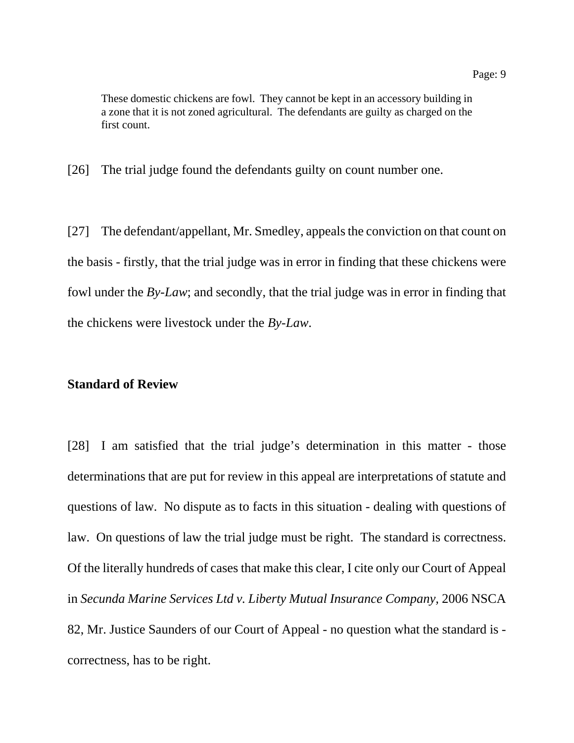These domestic chickens are fowl. They cannot be kept in an accessory building in a zone that it is not zoned agricultural. The defendants are guilty as charged on the first count.

[26] The trial judge found the defendants guilty on count number one.

[27] The defendant/appellant, Mr. Smedley, appeals the conviction on that count on the basis - firstly, that the trial judge was in error in finding that these chickens were fowl under the *By-Law*; and secondly, that the trial judge was in error in finding that the chickens were livestock under the *By-Law*.

### **Standard of Review**

[28] I am satisfied that the trial judge's determination in this matter - those determinations that are put for review in this appeal are interpretations of statute and questions of law. No dispute as to facts in this situation - dealing with questions of law. On questions of law the trial judge must be right. The standard is correctness. Of the literally hundreds of cases that make this clear, I cite only our Court of Appeal in *Secunda Marine Services Ltd v. Liberty Mutual Insurance Company,* 2006 NSCA 82, Mr. Justice Saunders of our Court of Appeal - no question what the standard is correctness, has to be right.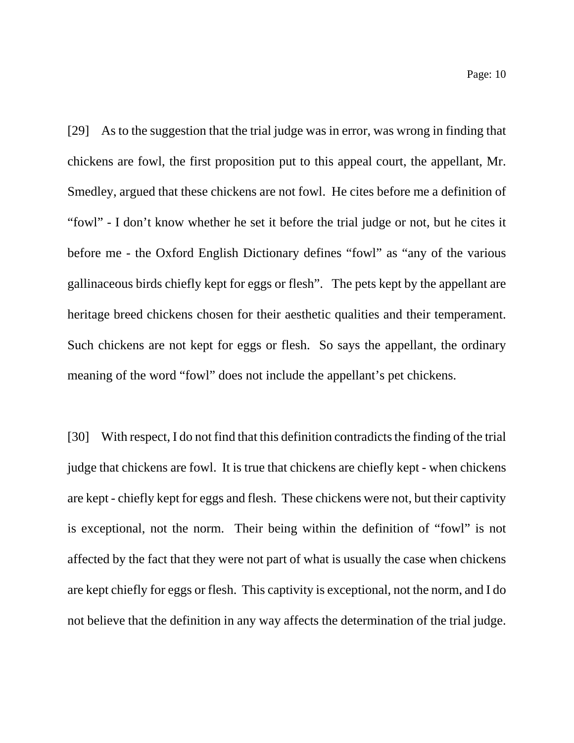[29] As to the suggestion that the trial judge was in error, was wrong in finding that chickens are fowl, the first proposition put to this appeal court, the appellant, Mr. Smedley, argued that these chickens are not fowl. He cites before me a definition of "fowl" - I don't know whether he set it before the trial judge or not, but he cites it before me - the Oxford English Dictionary defines "fowl" as "any of the various gallinaceous birds chiefly kept for eggs or flesh". The pets kept by the appellant are heritage breed chickens chosen for their aesthetic qualities and their temperament. Such chickens are not kept for eggs or flesh. So says the appellant, the ordinary meaning of the word "fowl" does not include the appellant's pet chickens.

[30] With respect, I do not find that this definition contradicts the finding of the trial judge that chickens are fowl. It is true that chickens are chiefly kept - when chickens are kept - chiefly kept for eggs and flesh. These chickens were not, but their captivity is exceptional, not the norm. Their being within the definition of "fowl" is not affected by the fact that they were not part of what is usually the case when chickens are kept chiefly for eggs or flesh. This captivity is exceptional, not the norm, and I do not believe that the definition in any way affects the determination of the trial judge.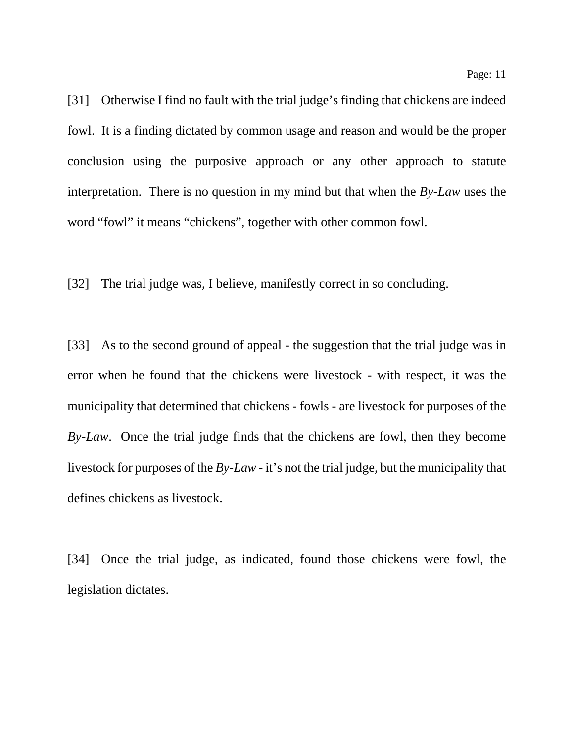[31] Otherwise I find no fault with the trial judge's finding that chickens are indeed fowl. It is a finding dictated by common usage and reason and would be the proper conclusion using the purposive approach or any other approach to statute interpretation. There is no question in my mind but that when the *By-Law* uses the word "fowl" it means "chickens", together with other common fowl.

[32] The trial judge was, I believe, manifestly correct in so concluding.

[33] As to the second ground of appeal - the suggestion that the trial judge was in error when he found that the chickens were livestock - with respect, it was the municipality that determined that chickens - fowls - are livestock for purposes of the *By-Law*. Once the trial judge finds that the chickens are fowl, then they become livestock for purposes of the *By-Law -* it's not the trial judge, but the municipality that defines chickens as livestock.

[34] Once the trial judge, as indicated, found those chickens were fowl, the legislation dictates.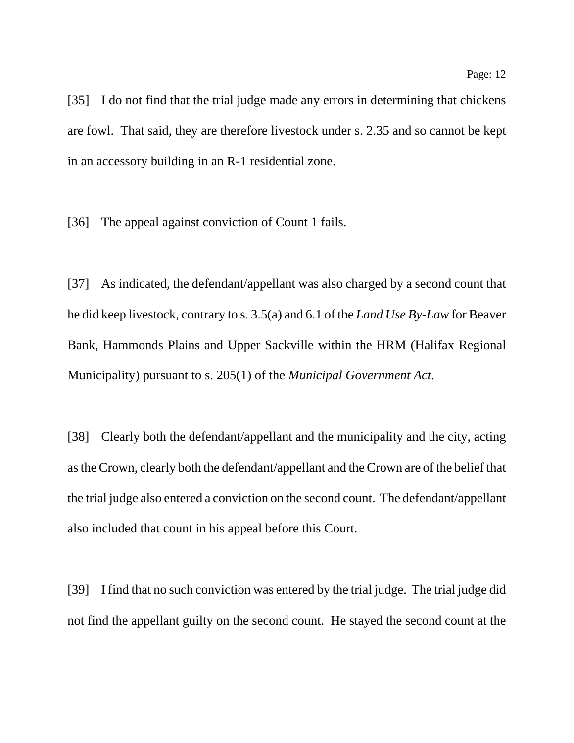[35] I do not find that the trial judge made any errors in determining that chickens are fowl. That said, they are therefore livestock under s. 2.35 and so cannot be kept in an accessory building in an R-1 residential zone.

[36] The appeal against conviction of Count 1 fails.

[37] As indicated, the defendant/appellant was also charged by a second count that he did keep livestock, contrary to s. 3.5(a) and 6.1 of the *Land Use By-Law* for Beaver Bank, Hammonds Plains and Upper Sackville within the HRM (Halifax Regional Municipality) pursuant to s. 205(1) of the *Municipal Government Act*.

[38] Clearly both the defendant/appellant and the municipality and the city, acting as the Crown, clearly both the defendant/appellant and the Crown are of the belief that the trial judge also entered a conviction on the second count. The defendant/appellant also included that count in his appeal before this Court.

[39] I find that no such conviction was entered by the trial judge. The trial judge did not find the appellant guilty on the second count. He stayed the second count at the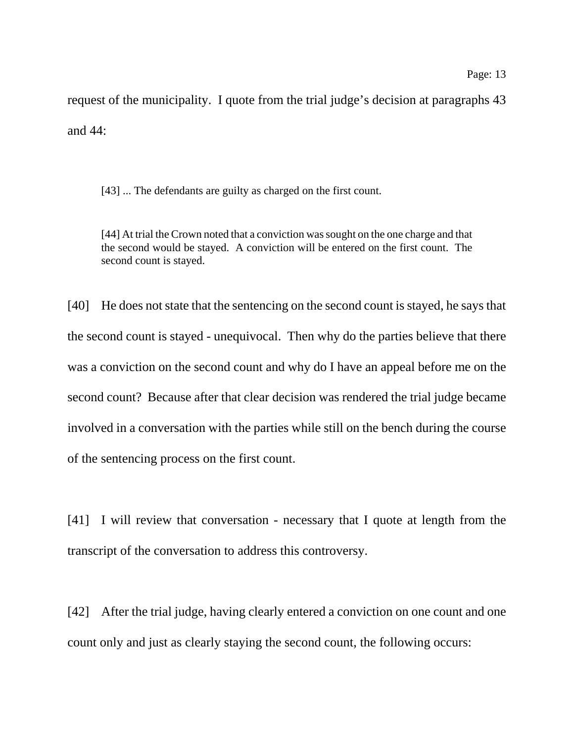request of the municipality. I quote from the trial judge's decision at paragraphs 43 and 44:

[43] ... The defendants are guilty as charged on the first count.

[44] At trial the Crown noted that a conviction was sought on the one charge and that the second would be stayed. A conviction will be entered on the first count. The second count is stayed.

[40] He does not state that the sentencing on the second count is stayed, he says that the second count is stayed - unequivocal. Then why do the parties believe that there was a conviction on the second count and why do I have an appeal before me on the second count? Because after that clear decision was rendered the trial judge became involved in a conversation with the parties while still on the bench during the course of the sentencing process on the first count.

[41] I will review that conversation - necessary that I quote at length from the transcript of the conversation to address this controversy.

[42] After the trial judge, having clearly entered a conviction on one count and one count only and just as clearly staying the second count, the following occurs: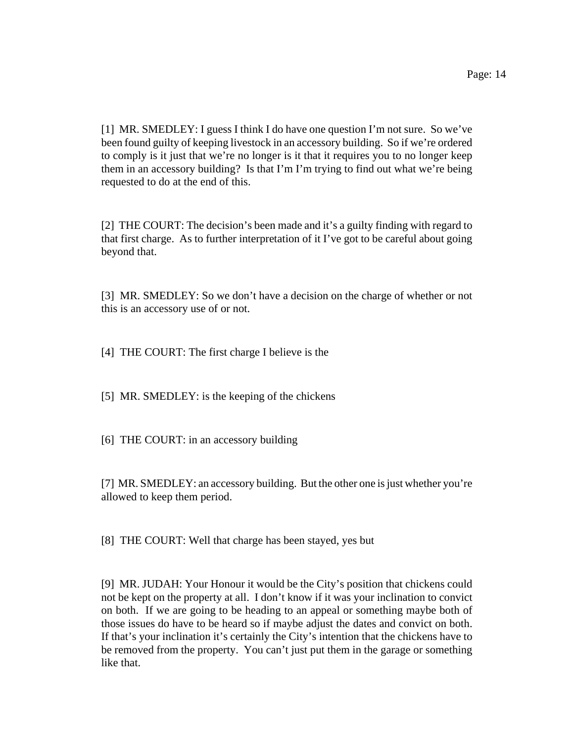[1] MR. SMEDLEY: I guess I think I do have one question I'm not sure. So we've been found guilty of keeping livestock in an accessory building. So if we're ordered to comply is it just that we're no longer is it that it requires you to no longer keep them in an accessory building? Is that I'm I'm trying to find out what we're being requested to do at the end of this.

[2] THE COURT: The decision's been made and it's a guilty finding with regard to that first charge. As to further interpretation of it I've got to be careful about going beyond that.

[3] MR. SMEDLEY: So we don't have a decision on the charge of whether or not this is an accessory use of or not.

[4] THE COURT: The first charge I believe is the

[5] MR. SMEDLEY: is the keeping of the chickens

[6] THE COURT: in an accessory building

[7] MR. SMEDLEY: an accessory building. But the other one is just whether you're allowed to keep them period.

[8] THE COURT: Well that charge has been stayed, yes but

[9] MR. JUDAH: Your Honour it would be the City's position that chickens could not be kept on the property at all. I don't know if it was your inclination to convict on both. If we are going to be heading to an appeal or something maybe both of those issues do have to be heard so if maybe adjust the dates and convict on both. If that's your inclination it's certainly the City's intention that the chickens have to be removed from the property. You can't just put them in the garage or something like that.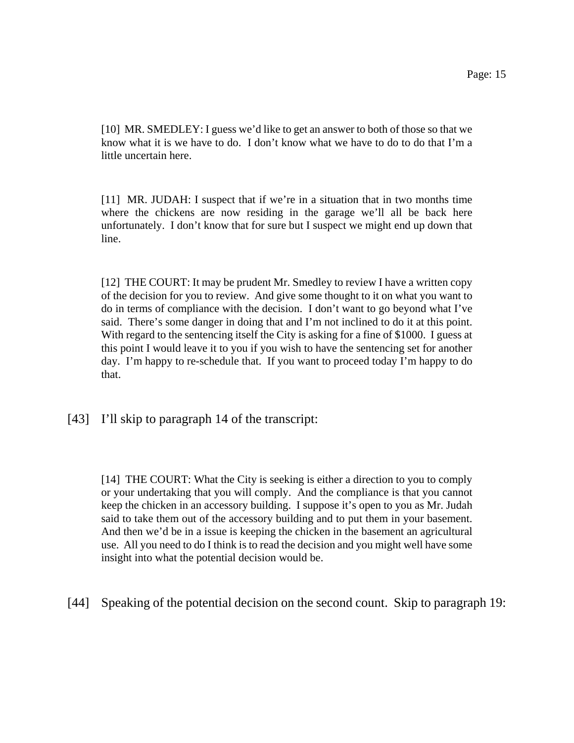[10] MR. SMEDLEY: I guess we'd like to get an answer to both of those so that we know what it is we have to do. I don't know what we have to do to do that I'm a little uncertain here.

[11] MR. JUDAH: I suspect that if we're in a situation that in two months time where the chickens are now residing in the garage we'll all be back here unfortunately. I don't know that for sure but I suspect we might end up down that line.

[12] THE COURT: It may be prudent Mr. Smedley to review I have a written copy of the decision for you to review. And give some thought to it on what you want to do in terms of compliance with the decision. I don't want to go beyond what I've said. There's some danger in doing that and I'm not inclined to do it at this point. With regard to the sentencing itself the City is asking for a fine of \$1000. I guess at this point I would leave it to you if you wish to have the sentencing set for another day. I'm happy to re-schedule that. If you want to proceed today I'm happy to do that.

[43] I'll skip to paragraph 14 of the transcript:

[14] THE COURT: What the City is seeking is either a direction to you to comply or your undertaking that you will comply. And the compliance is that you cannot keep the chicken in an accessory building. I suppose it's open to you as Mr. Judah said to take them out of the accessory building and to put them in your basement. And then we'd be in a issue is keeping the chicken in the basement an agricultural use. All you need to do I think is to read the decision and you might well have some insight into what the potential decision would be.

[44] Speaking of the potential decision on the second count. Skip to paragraph 19: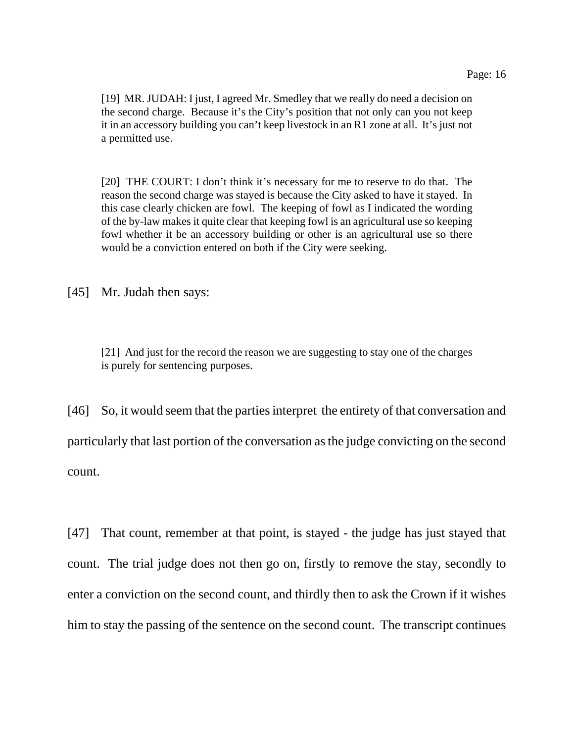[19] MR. JUDAH: I just, I agreed Mr. Smedley that we really do need a decision on the second charge. Because it's the City's position that not only can you not keep it in an accessory building you can't keep livestock in an R1 zone at all. It's just not a permitted use.

[20] THE COURT: I don't think it's necessary for me to reserve to do that. The reason the second charge was stayed is because the City asked to have it stayed. In this case clearly chicken are fowl. The keeping of fowl as I indicated the wording of the by-law makes it quite clear that keeping fowl is an agricultural use so keeping fowl whether it be an accessory building or other is an agricultural use so there would be a conviction entered on both if the City were seeking.

[45] Mr. Judah then says:

[21] And just for the record the reason we are suggesting to stay one of the charges is purely for sentencing purposes.

[46] So, it would seem that the parties interpret the entirety of that conversation and particularly that last portion of the conversation as the judge convicting on the second count.

[47] That count, remember at that point, is stayed - the judge has just stayed that count. The trial judge does not then go on, firstly to remove the stay, secondly to enter a conviction on the second count, and thirdly then to ask the Crown if it wishes him to stay the passing of the sentence on the second count. The transcript continues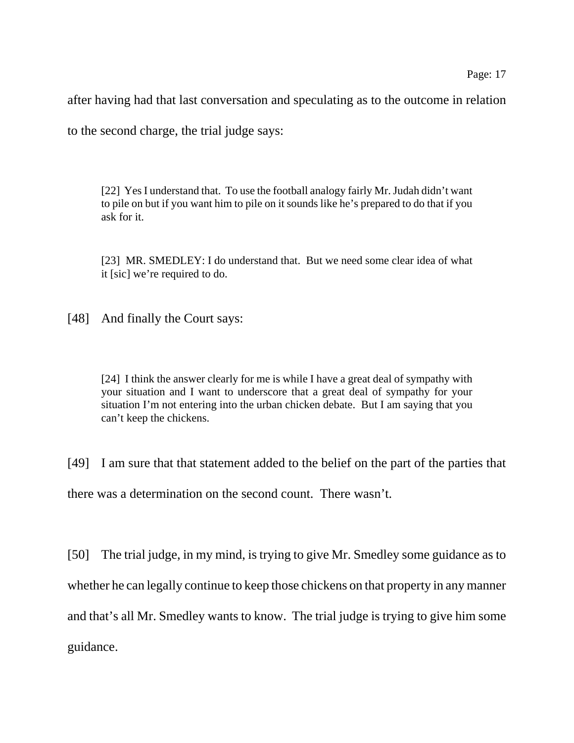after having had that last conversation and speculating as to the outcome in relation

to the second charge, the trial judge says:

[22] Yes I understand that. To use the football analogy fairly Mr. Judah didn't want to pile on but if you want him to pile on it sounds like he's prepared to do that if you ask for it.

[23] MR. SMEDLEY: I do understand that. But we need some clear idea of what it [sic] we're required to do.

[48] And finally the Court says:

[24] I think the answer clearly for me is while I have a great deal of sympathy with your situation and I want to underscore that a great deal of sympathy for your situation I'm not entering into the urban chicken debate. But I am saying that you can't keep the chickens.

[49] I am sure that that statement added to the belief on the part of the parties that there was a determination on the second count. There wasn't.

[50] The trial judge, in my mind, is trying to give Mr. Smedley some guidance as to whether he can legally continue to keep those chickens on that property in any manner and that's all Mr. Smedley wants to know. The trial judge is trying to give him some guidance.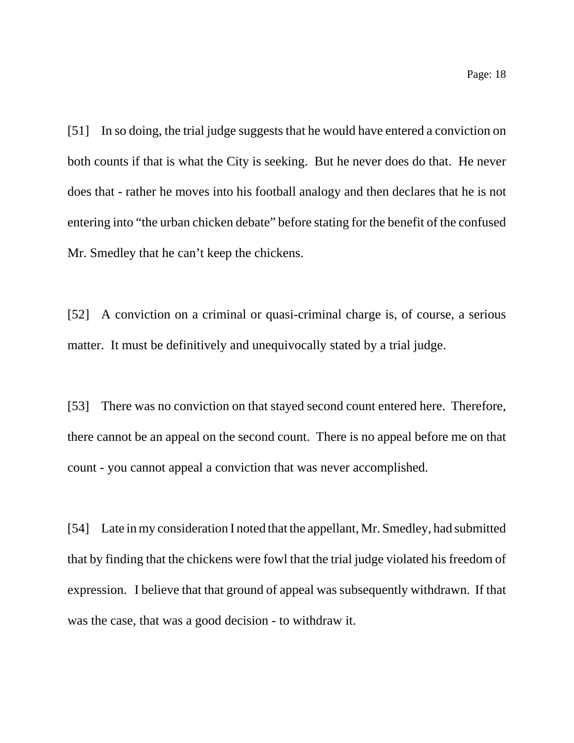Page: 18

[51] In so doing, the trial judge suggests that he would have entered a conviction on both counts if that is what the City is seeking. But he never does do that. He never does that - rather he moves into his football analogy and then declares that he is not entering into "the urban chicken debate" before stating for the benefit of the confused Mr. Smedley that he can't keep the chickens.

[52] A conviction on a criminal or quasi-criminal charge is, of course, a serious matter. It must be definitively and unequivocally stated by a trial judge.

[53] There was no conviction on that stayed second count entered here. Therefore, there cannot be an appeal on the second count. There is no appeal before me on that count - you cannot appeal a conviction that was never accomplished.

[54] Late in my consideration I noted that the appellant, Mr. Smedley, had submitted that by finding that the chickens were fowl that the trial judge violated his freedom of expression. I believe that that ground of appeal was subsequently withdrawn. If that was the case, that was a good decision - to withdraw it.